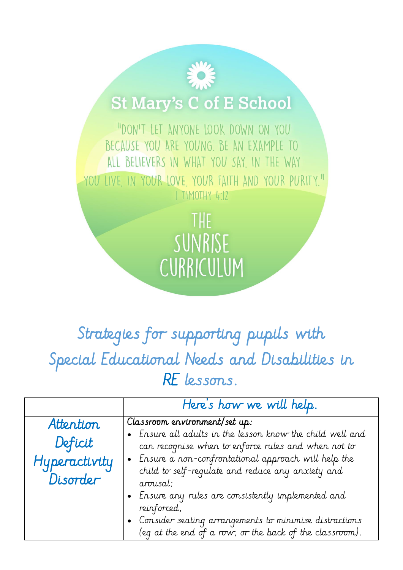## **St Mary's C of E School**

"DON'T LET ANYONE LOOK DOWN ON YOU BECAUSE YOU ARE YOUNG. BE AN EXAMPLE TO ALL BELIEVERS IN WHAT YOU SAY, IN THE WAY YOU LIVE IN YOUR LOVE YOUR FAITH AND YOUR PURITY." | TIMOTHY 4:12

> THE SUNRISE CURRICULUM

## Strategies for supporting pupils with Special Educational Needs and Disabilities in RE lessons.

|               | Here's how we will help.                                                                                            |
|---------------|---------------------------------------------------------------------------------------------------------------------|
| Attention     | Classroom environment/set up:                                                                                       |
|               | • Ensure all adults in the lesson know the child well and                                                           |
| Deficit       | can recognise when to enforce rules and when not to                                                                 |
| Hyperactivity | • Ensure a non-confrontational approach will help the                                                               |
| Disorder      | child to self-regulate and reduce any anxiety and<br>arousal;                                                       |
|               | . Ensure any rules are consistently implemented and<br>reinforced,                                                  |
|               | • Consider seating arrangements to minimise distractions<br>(eq at the end of a row, or the back of the classroom). |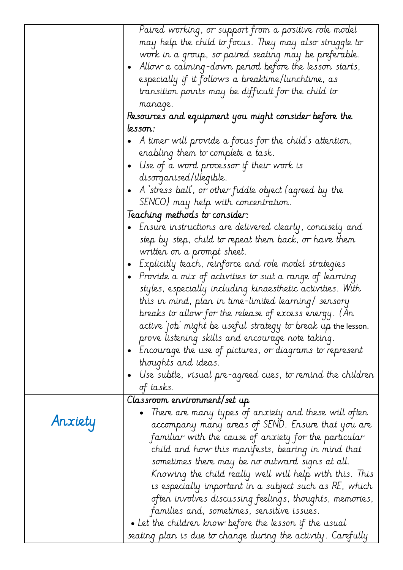|         | Paired working, or support from a positive role model<br>may help the child to focus. They may also struggle to<br>work in a group, so paired seating may be preferable.<br>- Allow a calming-down period before the lesson starts, $\;$<br>especially if it follows a breaktime/lunchtime, as<br>transition points may be difficult for the child to<br>manage.<br>Resources and equipment you might consider before the |
|---------|---------------------------------------------------------------------------------------------------------------------------------------------------------------------------------------------------------------------------------------------------------------------------------------------------------------------------------------------------------------------------------------------------------------------------|
|         | lesson:                                                                                                                                                                                                                                                                                                                                                                                                                   |
|         | A timer will provide a focus for the child's attention,                                                                                                                                                                                                                                                                                                                                                                   |
|         | enabling them to complete a task.                                                                                                                                                                                                                                                                                                                                                                                         |
|         | Use of a word processor if their work is                                                                                                                                                                                                                                                                                                                                                                                  |
|         | disorganised/illegible.                                                                                                                                                                                                                                                                                                                                                                                                   |
|         | A stress ball', or other fiddle object (agreed by the                                                                                                                                                                                                                                                                                                                                                                     |
|         | SENCO) may help with concentration.                                                                                                                                                                                                                                                                                                                                                                                       |
|         | Teaching methods to consider:<br>Ensure instructions are delivered clearly, concisely and<br>$\bullet$                                                                                                                                                                                                                                                                                                                    |
|         | step by step, child to repeat them back, or have them                                                                                                                                                                                                                                                                                                                                                                     |
|         | written on a prompt sheet.                                                                                                                                                                                                                                                                                                                                                                                                |
|         | • Explicitly teach, reinforce and role model strategies                                                                                                                                                                                                                                                                                                                                                                   |
|         | Provide a mix of activities to suit a range of learning<br>$\bullet$                                                                                                                                                                                                                                                                                                                                                      |
|         | styles, especially including kinaesthetic activities. With                                                                                                                                                                                                                                                                                                                                                                |
|         | this in mind, plan in time-limited learning/ sensory                                                                                                                                                                                                                                                                                                                                                                      |
|         | breaks to allow for the release of excess energy. (An<br>active job' might be useful strategy to break up the lesson.                                                                                                                                                                                                                                                                                                     |
|         | prove listening skills and encourage note taking.                                                                                                                                                                                                                                                                                                                                                                         |
|         | $\bullet$ - Encourage the use of pictures, or diagrams to represent                                                                                                                                                                                                                                                                                                                                                       |
|         | thoughts and ideas.                                                                                                                                                                                                                                                                                                                                                                                                       |
|         | Use subtle, visual pre-agreed cues, to remind the children                                                                                                                                                                                                                                                                                                                                                                |
|         | of tasks.                                                                                                                                                                                                                                                                                                                                                                                                                 |
|         | Classroom ervironment/set up                                                                                                                                                                                                                                                                                                                                                                                              |
| Anxiety | There are many types of anxiety and these will often<br>accompany many areas of SEND. Ensure that you are<br>familiar with the cause of anxiety for the particular<br>child and how this manifests, bearing in mind that<br>sometimes there may be no outward signs at all.<br>Knowing the child really well will help with this. This                                                                                    |
|         | is especially important in a subject such as RE, which<br>often involves discussing feelings, thoughts, memories,                                                                                                                                                                                                                                                                                                         |
|         | families and, sometimes, sensitive issues.                                                                                                                                                                                                                                                                                                                                                                                |
|         | $\bullet$ Let the children know before the lesson if the usual                                                                                                                                                                                                                                                                                                                                                            |
|         | seating plan is due to change during the activity. Carefully                                                                                                                                                                                                                                                                                                                                                              |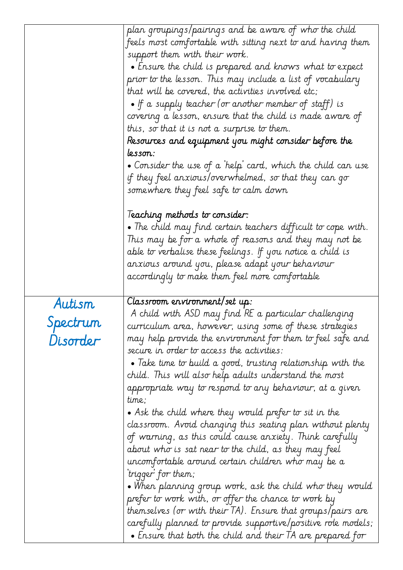|          | plan groupings/pairings and be aware of who the child<br>feels most comfortable with sitting next to and having them |
|----------|----------------------------------------------------------------------------------------------------------------------|
|          | support them with their work.                                                                                        |
|          | $\bullet$ Ensure the child is prepared and knows what to expect                                                      |
|          | prior to the lesson. This may include a list of vocabulary                                                           |
|          | that will be covered, the activities involved etc;                                                                   |
|          | • If a supply teacher (or another member of staff) is                                                                |
|          | covering a lesson, ensure that the child is made aware of                                                            |
|          | this, so that it is not a surprise to them.                                                                          |
|          | Resources and equipment you might consider before the                                                                |
|          | lesson:                                                                                                              |
|          | $\bullet$ Consider the use of a 'help' card, which the child can use                                                 |
|          | if they feel anxious/overwhelmed, so that they can go                                                                |
|          | somewhere they feel safe to calm down                                                                                |
|          | Teaching methods to consider:                                                                                        |
|          | $\bullet$ The child may find certain teachers difficult to cope with.                                                |
|          | This may be for a whole of reasons and they may not be                                                               |
|          | able to verbalise these feelings. If you notice a child is                                                           |
|          | anxious around you, please adapt your behaviour                                                                      |
|          | accordingly to make them feel more comfortable                                                                       |
|          |                                                                                                                      |
|          | Classroom ervironment/set up:                                                                                        |
| Autism   | A child with ASD may find RE a particular challenging                                                                |
| Spectrum | curriculum area, however, using some of these strategies                                                             |
| Disorder | may help provide the environment for them to feel safe and                                                           |
|          | secure in order to access the activities:                                                                            |
|          | $\bullet$ Take time to build a good, trusting relationship with the                                                  |
|          | child. This will also help adults understand the most                                                                |
|          | appropriate way to respond to any behaviour, at a given<br>time;                                                     |
|          | $\bullet$ Ask the child where they would prefer to sit in the                                                        |
|          | classroom. Avoid changing this seating plan without plenty                                                           |
|          | of warning, as this could cause anxiety. Think carefully                                                             |
|          | about who is sat near to the child, as they may feel                                                                 |
|          | uncomfortable around certain children who may be a                                                                   |
|          | trigger for them;                                                                                                    |
|          | $\bullet$ When planning group work, ask the child who they would                                                     |
|          | prefer to work with, or offer the chance to work by                                                                  |
|          | themselves (or with their TA). Ensure that groups/pairs are                                                          |
|          | carefully planned to provide supportive/positive role models;                                                        |
|          | $\bullet$ Ensure that both the child and their TA are prepared for                                                   |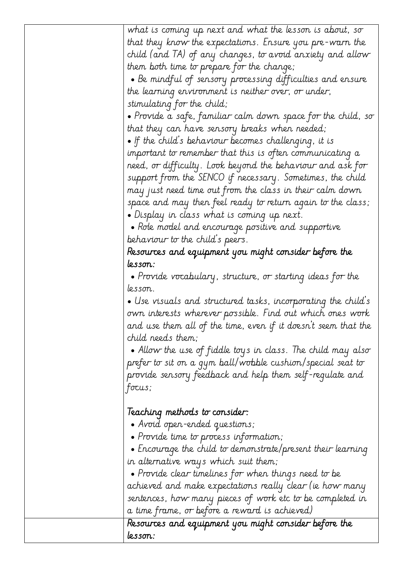| what is coming up next and what the lesson is about, so               |
|-----------------------------------------------------------------------|
| that they know the expectations. Ensure you pre-warn the              |
| child (and TA) of any changes, to avoid anxiety and allow             |
| them both time to prepare for the change;                             |
| $\bullet$ Be mindful of sensory processing difficulties and ensure    |
| the learning environment is neither over, or under,                   |
| stimulating for the child;                                            |
| $\bullet$ Provide a safe, familiar calm down space for the child, so  |
| that they can have sensory breaks when needed;                        |
| $\bullet$ If the child's behaviour becomes challenging, it is         |
| important to remember that this is often communicating a              |
| need, or difficulty. Look beyond the behaviour and ask for            |
| support from the SENCO if necessary. Sometimes, the child             |
| may just need time out from the class in their calm down              |
| space and may then feel ready to return again to the class;           |
| $\bullet$ Display in class what is coming up next.                    |
| $\bullet$ Role model and encourage positive and supportive            |
| behaviour to the child's peers.                                       |
| Resources and equipment you might consider before the                 |
| lesson:                                                               |
| $\bullet$ Provide vocabulary, structure, or starting ideas for the    |
| lesson.                                                               |
| $\bullet$ Use visuals and structured tasks, incorporating the child's |
| own interests wherever possible. Find out which ones work             |
| and use them all of the time, even if it doesn't seem that the        |
| child needs them;                                                     |
| $\bullet$ Allow the use of fiddle toys in class. The child may also   |
| prefer to sit on a gym ball/wobble cushion/special seat to            |
| provide sensory feedback and help them self-regulate and              |
| focus;                                                                |
|                                                                       |
| leaching methods to consider:                                         |
| • Avoid open-ended questions;                                         |
| • Provide time to process information;                                |
| $\bullet$ Encourage the child to demonstrate/present their learning   |
| in alternative ways which suit them;                                  |
| $\bullet$ Provide clear timelines for when things need to be          |
| achieved and make expectations really clear (ie how many              |
| sentences, how many pieces of work etc to be completed in             |
| a time frame, or before a reward is achieved)                         |
| Resources and equipment you might consider before the                 |
| lesson:                                                               |
|                                                                       |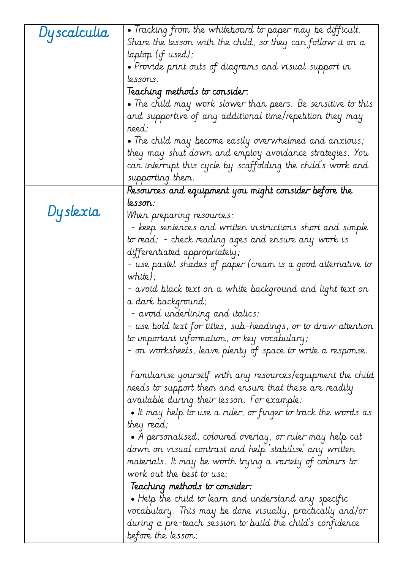| Dy scalculia | • Tracking from the whiteboard to paper may be difficult.                                                                                                                                                                                                                                                                                 |
|--------------|-------------------------------------------------------------------------------------------------------------------------------------------------------------------------------------------------------------------------------------------------------------------------------------------------------------------------------------------|
|              | Share the lesson with the child, so they can follow it on a                                                                                                                                                                                                                                                                               |
|              | laptop (if used);                                                                                                                                                                                                                                                                                                                         |
|              | $\bullet$ Provide print outs of diagrams and visual support in                                                                                                                                                                                                                                                                            |
|              | lessons.                                                                                                                                                                                                                                                                                                                                  |
|              | Teaching methods to consider:                                                                                                                                                                                                                                                                                                             |
|              | $\bullet$ The child may work slower than peers. Be sensitive to this                                                                                                                                                                                                                                                                      |
|              | and supportive of any additional time/repetition they may<br>reed;                                                                                                                                                                                                                                                                        |
|              | $\bullet$ The child may become easily overwhelmed and anxious;                                                                                                                                                                                                                                                                            |
|              | they may shut down and employ avoidance strategies. You                                                                                                                                                                                                                                                                                   |
|              | can interrupt this cycle by scaffolding the child's work and                                                                                                                                                                                                                                                                              |
|              | supporting them.                                                                                                                                                                                                                                                                                                                          |
|              | Resources and equipment you might consider before the                                                                                                                                                                                                                                                                                     |
|              | lesson:                                                                                                                                                                                                                                                                                                                                   |
| Dyslexia     | When preparing resources:                                                                                                                                                                                                                                                                                                                 |
|              | - keep sentences and written instructions short and simple                                                                                                                                                                                                                                                                                |
|              | to read; - check reading ages and ensure any work is                                                                                                                                                                                                                                                                                      |
|              | differentiated appropriately;                                                                                                                                                                                                                                                                                                             |
|              | - use pastel shades of paper (cream is a good alternative to                                                                                                                                                                                                                                                                              |
|              | $white$ );                                                                                                                                                                                                                                                                                                                                |
|              | - avoid black text on a white background and light text on                                                                                                                                                                                                                                                                                |
|              | a dark background;                                                                                                                                                                                                                                                                                                                        |
|              | - avoid underlining and italics;                                                                                                                                                                                                                                                                                                          |
|              | use bold text for titles, sub-headings, or to draw attention                                                                                                                                                                                                                                                                              |
|              | to important information, or key vocabulary;                                                                                                                                                                                                                                                                                              |
|              | - on worksheets, leave plenty of space to write a response.                                                                                                                                                                                                                                                                               |
|              | Familiarise yourself with any resources/equipment the child                                                                                                                                                                                                                                                                               |
|              | needs to support them and ensure that these are readily                                                                                                                                                                                                                                                                                   |
|              | available during their lesson. For example:                                                                                                                                                                                                                                                                                               |
|              | $\bullet$ It may help to use a ruler, or finger to track the words as                                                                                                                                                                                                                                                                     |
|              | they read;                                                                                                                                                                                                                                                                                                                                |
|              | $\bullet$ A personalised, coloured overlay, or ruler may help cut                                                                                                                                                                                                                                                                         |
|              | down on visual contrast and help 'stabilise' any written                                                                                                                                                                                                                                                                                  |
|              |                                                                                                                                                                                                                                                                                                                                           |
|              |                                                                                                                                                                                                                                                                                                                                           |
|              |                                                                                                                                                                                                                                                                                                                                           |
|              |                                                                                                                                                                                                                                                                                                                                           |
|              |                                                                                                                                                                                                                                                                                                                                           |
|              |                                                                                                                                                                                                                                                                                                                                           |
|              | materials. It may be worth trying a variety of colours to<br>work out the best to use;<br>leaching methods to consider:<br>$\bullet$ Help the child to learn and understand any specific<br>vocabulary. This may be done visually, practically and/or<br>during a pre-teach session to build the child's confidence<br>before the lesson; |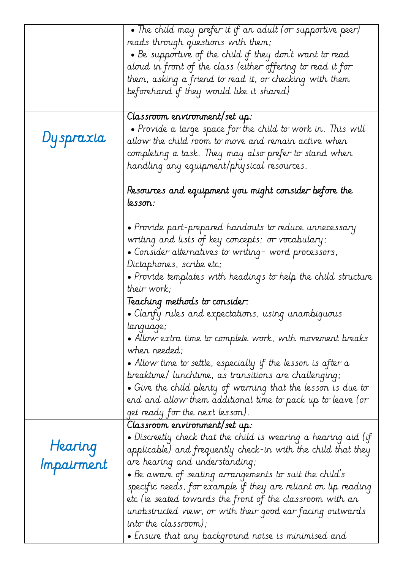|            | • The child may prefer it if an adult (or supportive peer)             |
|------------|------------------------------------------------------------------------|
|            | reads through questions with them;                                     |
|            | $\bullet$ Be supportive of the child if they don't want to read        |
|            | aloud in front of the class (either offering to read it for            |
|            | them, asking a friend to read it, or checking with them                |
|            | beforehand if they would like it shared)                               |
|            |                                                                        |
|            | Classroom ervironment/set up:                                          |
|            | • Provide a large space for the child to work in. This will            |
| Dyspraxia  |                                                                        |
|            | allow the child room to move and remain active when                    |
|            | completing a task. They may also prefer to stand when                  |
|            | handling any equipment/physical resources.                             |
|            |                                                                        |
|            | Resources and equipment you might consider before the                  |
|            | lesson:                                                                |
|            |                                                                        |
|            | $\bullet$ Provide part-prepared handouts to reduce unnecessary         |
|            | writing and lists of key concepts; or vocabulary;                      |
|            | • Consider alternatives to writing- word processors,                   |
|            | Dictaphones, scribe etc;                                               |
|            | • Provide templates with headings to help the child structure          |
|            | their work;                                                            |
|            | Teaching methods to consider:                                          |
|            | . Clarify rules and expectations, using unambiguous                    |
|            | language;                                                              |
|            | $\bullet$ Allow extra time to complete work, with movement breaks      |
|            | when needed;                                                           |
|            | $\bullet$ Allow time to settle, especially if the lesson is after a    |
|            | breaktime/ lunchtime, as transitions are challenging;                  |
|            |                                                                        |
|            | $\bullet$ Give the child plenty of warning that the lesson is due to   |
|            | end and allow them additional time to pack up to leave (or             |
|            | get ready for the next lesson).                                        |
|            | Classroom ervironment/set up:                                          |
| Hearing    | $\bullet$ Discreetly check that the child is wearing a hearing aid (if |
|            | applicable) and frequently check-in with the child that they           |
| Impairment | are hearing and understanding;                                         |
|            | $\bullet$ Be aware of seating arrangements to suit the child s         |
|            | specific needs, for example if they are reliant on lip reading         |
|            | etc (ie seated towards the front of the classroom with an              |
|            | unobstructed view, or with their good ear facing outwards              |
|            | into the classroom);                                                   |
|            | $\bullet$ Ensure that any background noise is minimised and            |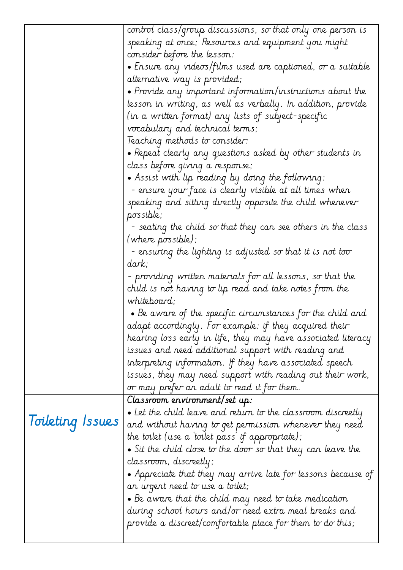|                  | control class/group discussions, so that only one person is            |
|------------------|------------------------------------------------------------------------|
|                  | speaking at once; Resources and equipment you might                    |
|                  | consider before the lesson:                                            |
|                  | • Ensure any videos/films used are captioned, or a suitable            |
|                  | alternative way is provided;                                           |
|                  | $\bullet$ Provide any important information/instructions about the     |
|                  | lesson in writing, as well as verbally. In addition, provide           |
|                  | (in a written format) any lists of subject-specific                    |
|                  | vocabulary and technical terms;                                        |
|                  | Teaching methods to consider:                                          |
|                  | • Repeat clearly any questions asked by other students in              |
|                  | class before giving a response;                                        |
|                  | $\bullet$ Assist with lip reading by doing the following:              |
|                  | - ensure your face is clearly visible at all times when                |
|                  | speaking and sitting directly opposite the child whenever<br>possible; |
|                  | - seating the child so that they can see others in the class           |
|                  | (where possible);                                                      |
|                  | - ensuring the lighting is adjusted so that it is not too              |
|                  | dark;                                                                  |
|                  | - providing written materials for all lessons, so that the             |
|                  | child is not having to lip read and take notes from the                |
|                  | whiteboard;                                                            |
|                  | $\bullet$ Be aware of the specific circumstances for the child and     |
|                  | adapt accordingly. For example: if they acquired their                 |
|                  | hearing loss early in life, they may have associated literacy          |
|                  | issues and need additional support with reading and                    |
|                  | interpreting information. If they have associated speech               |
|                  | issues, they may need support with reading out their work,             |
|                  | or may prefer an adult to read it for them.                            |
|                  | Classroom ervironment/set up:                                          |
|                  | $\bullet$ Let the child leave and return to the classroom discreetly   |
| Toileting Issues | and without having to get permission whenever they need                |
|                  | the toilet (use a 'toilet pass' if appropriate);                       |
|                  | $\bullet$ Sit the child close to the door so that they can leave the   |
|                  | classroom, discreetly;                                                 |
|                  | $\bullet$ Appreciate that they may arrive late for lessons because of  |
|                  | an urgent need to use a toilet;                                        |
|                  | $\bullet$ Be aware that the child may need to take medication          |
|                  | during school hours and/or need extra meal breaks and                  |
|                  | provide a discreet/comfortable place for them to do this;              |
|                  |                                                                        |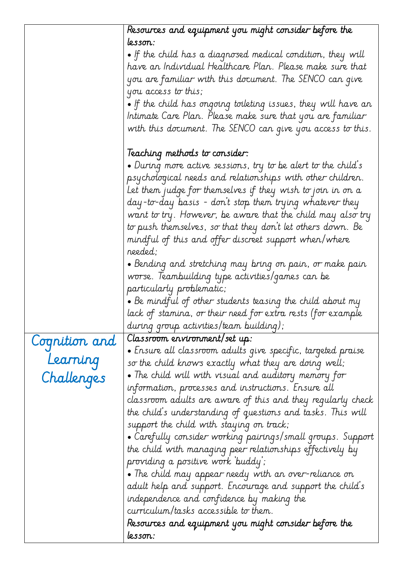|               | Resources and equipment you might consider before the                  |
|---------------|------------------------------------------------------------------------|
|               | lesson:                                                                |
|               | $\bullet$ If the child has a diagnosed medical condition, they will    |
|               | have an Individual Healthcare Plan. Please make sure that              |
|               | you are familiar with this document. The SENCO can give                |
|               | you access to this;                                                    |
|               | $\bullet$ If the child has ongoing toileting issues, they will have an |
|               | Intimate Care Plan. Please make sure that you are familiar             |
|               | with this document. The SENCO can give you access to this.             |
|               |                                                                        |
|               | leaching methods to consider:                                          |
|               | $\bullet$ During more active sessions, try to be alert to the child's  |
|               | psychological needs and relationships with other children.             |
|               | Let them judge for themselves if they wish to join in on a             |
|               | day-to-day basis - don't stop them trying whatever they                |
|               | want to try. However, be aware that the child may also try             |
|               | to push themselves, so that they don't let others down. Be             |
|               | mindful of this and offer discreet support when/where                  |
|               | needed;                                                                |
|               | • Bending and stretching may bring on pain, or make pain               |
|               | worse. Teambuilding type activities/games can be                       |
|               | particularly problematic;                                              |
|               | $\bullet$ Be mindful of other students teasing the child about my      |
|               | lack of stamina, or their need for extra rests (for example            |
|               | during group activities/team building);                                |
| Cognition and | Classroom ervironment/set up:                                          |
|               | $\bullet$ Ensure all classroom adults give specific, targeted praise   |
| Learning      | so the child knows exactly what they are doing well;                   |
| Challenges    | $\bullet$ The child will with visual and auditory memory for           |
|               | information, processes and instructions. Ensure all                    |
|               | classroom adults are aware of this and they regularly check            |
|               | the child's understanding of questions and tasks. This will            |
|               | support the child with staying on track;                               |
|               | • Carefully consider working pairings/small groups. Support            |
|               | the child with managing peer relationships effectively by              |
|               | providing a positive work buddy;                                       |
|               | • The child may appear needy with an over-reliance on                  |
|               | adult help and support. Encourage and support the child's              |
|               | independence and confidence by making the                              |
|               | curriculum/tasks accessible to them.                                   |
|               | Resources and equipment you might consider before the                  |
|               | lesson:                                                                |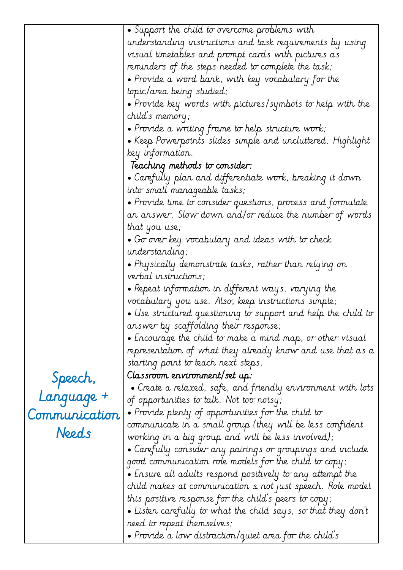|               | • Support the child to overcome problems with                                                     |
|---------------|---------------------------------------------------------------------------------------------------|
|               | understanding instructions and task requirements by using                                         |
|               | visual timetables and prompt cards with pictures as                                               |
|               | reminders of the steps needed to complete the task;                                               |
|               | $\bullet$ Provide a word bank, with key vocabulary for the                                        |
|               | topic/area being studied;                                                                         |
|               | $\bullet$ Provide key words with pictures/symbols to help with the                                |
|               | child's memory;                                                                                   |
|               | $\bullet$ Provide a writing frame to help structure work;                                         |
|               | $\bullet$ Keep Powerpoints slides simple and uncluttered. Highlight                               |
|               | key information.                                                                                  |
|               | Teaching methods to consider:                                                                     |
|               | • Carefully plan and differentiate work, breaking it down                                         |
|               | into small manageable tasks;                                                                      |
|               | • Provide time to consider questions, process and formulate                                       |
|               | an answer. Slow down and/or reduce the number of words                                            |
|               | that you use;                                                                                     |
|               | $\bullet$ Go over key vocabulary and ideas with to check                                          |
|               | understanding;                                                                                    |
|               | $\bullet$ Physically demonstrate tasks, rather than relying on                                    |
|               | verbal instructions;                                                                              |
|               |                                                                                                   |
|               | $\bullet$ Repeat information in different ways, varying the                                       |
|               | vocabulary you use. Also, keep instructions simple;                                               |
|               | $\bullet$ Use structured questioning to support and help the child to                             |
|               | answer by scaffolding their response;                                                             |
|               | $\bullet$ Encourage the child to make a mind map, or other visual                                 |
|               |                                                                                                   |
|               | representation of what they already know and use that as a<br>starting point to teach next steps. |
|               | Classroom environment/set up:                                                                     |
| Speech,       | $\bullet$ Create a relaxed, safe, and friendly environment with lots                              |
|               | of opportunities to talk. Not too noisy;                                                          |
| Language +    | • Provide plenty of opportunities for the child to                                                |
| Communication | communicate in a small group (they will be less confident                                         |
| Needs         | working in a big group and will be less involved);                                                |
|               | • Carefully consider any pairings or groupings and include                                        |
|               | good communication role models for the child to copy;                                             |
|               | $\bullet$ Ensure all adults respond positively to any attempt the                                 |
|               | child makes at communication s not just speech. Role model                                        |
|               | this positive response for the child's peers to copy;                                             |
|               | $\bullet$ Listen carefully to what the child says, so that they don't                             |
|               | need to repeat themselves;                                                                        |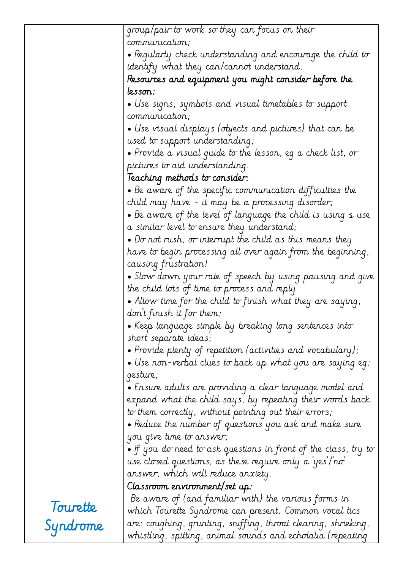|          | group/pair to work so they can focus on their                                                                                 |
|----------|-------------------------------------------------------------------------------------------------------------------------------|
|          | communication;                                                                                                                |
|          | $\bullet$ Regularly check understanding and encourage the child to                                                            |
|          | identify what they can/cannot understand.                                                                                     |
|          | Resources and equipment you might consider before the                                                                         |
|          | lesson:                                                                                                                       |
|          | $\bullet$ Use signs, symbols and visual timetables to support                                                                 |
|          | communication;                                                                                                                |
|          | $\bullet$ Use visual displays (objects and pictures) that can be                                                              |
|          | used to support understanding;                                                                                                |
|          | $\bullet$ Provide a visual guide to the lesson, eg a check list, or                                                           |
|          | pictures to aid understanding.                                                                                                |
|          | Teaching methods to consider:                                                                                                 |
|          | $\bullet$ Be aware of the specific communication difficulties the                                                             |
|          | child may have - it may be a processing disorder;                                                                             |
|          | $\bullet$ Be aware of the level of language the child is using $\texttt{s}$ use                                               |
|          | a similar level to ensure they understand;                                                                                    |
|          | $\bullet$ Do not rush, or interrupt the child as this means they                                                              |
|          | have to begin processing all over again from the beginning,                                                                   |
|          | causing frustration!                                                                                                          |
|          | • Slow down your rate of speech by using pausing and give                                                                     |
|          | the child lots of time to process and reply                                                                                   |
|          | • Allow time for the child to finish what they are saying,                                                                    |
|          | don't finish it for them;                                                                                                     |
|          | • Keep language simple by breaking long sentences into                                                                        |
|          | short separate ideas;                                                                                                         |
|          | $\bullet$ Provide plenty of repetition (activities and vocabulary);                                                           |
|          | $\bullet$ Use non-verbal clues to back up what you are saying eg:                                                             |
|          | gesture;                                                                                                                      |
|          | $\bullet$ Ensure adults are providing a clear language model and                                                              |
|          | expand what the child says, by repeating their words back                                                                     |
|          | to them correctly, without pointing out their errors;                                                                         |
|          | $\bullet$ Reduce the number of questions you ask and make sure                                                                |
|          | you give time to answer;                                                                                                      |
|          | $\bullet$ If you do need to ask questions in front of the class, try to                                                       |
|          | use closed questions, as these require only a 'yes'/'no'                                                                      |
|          | answer, which will reduce anxiety.                                                                                            |
|          | Classroom environment/set up:                                                                                                 |
|          | Be aware of (and familiar with) the various forms in                                                                          |
| Tourette | which Tourette Syndrome can present. Common vocal tics                                                                        |
| Syndrome | are: coughing, grunting, sniffing, throat clearing, shrieking,<br>whistling, spitting, animal sounds and echolalia (repeating |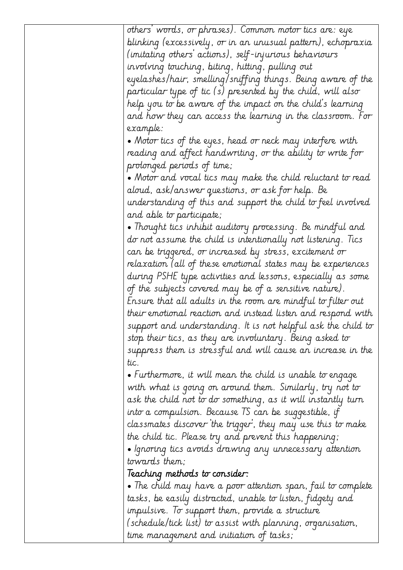| others' words, or phrases). Common motor tics are: eye               |
|----------------------------------------------------------------------|
| blinking (excessively, or in an unusual pattern), echopraxia         |
| (imitating others' actions), self-injurious behaviours               |
| involving touching, biting, hitting, pulling out                     |
| eyelashes/hair, smelling/sniffing things. Being aware of the         |
| particular type of tic (s) presented by the child, will also         |
| help you to be aware of the impact on the child's learning           |
| and how they can access the learning in the classroom. For           |
| example:                                                             |
| • Motor tics of the eyes, head or neck may interfere with            |
| reading and affect handwriting, or the ability to write for          |
| prolonged periods of time;                                           |
| • Motor and vocal tics may make the child reluctant to read          |
| aloud, ask/answer questions, or ask for help. Be                     |
| understanding of this and support the child to feel involved         |
| and able to participate;                                             |
| • Thought tics inhibit auditory processing. Be mindful and           |
| do not assume the child is intentionally not listening. Tics         |
| can be triggered, or increased by stress, excitement or              |
| relaxation (all of these emotional states may be experiences         |
| during PSHE type activities and lessons, especially as some          |
| of the subjects covered may be of a sensitive nature).               |
| Ensure that all adults in the room are mindful to filter out         |
| their emotional reaction and instead listen and respond with         |
| support and understanding. It is not helpful ask the child to $\mid$ |
| stop their tics, as they are involuntary. Being asked to             |
| suppress them is stressful and will cause an increase in the         |
| tic.                                                                 |
| $\bullet$ Furthermore, it will mean the child is unable to engage    |
| with what is going on around them. Similarly, try not to             |
| ask the child not to do something, as it will instantly turn         |
| into a compulsion. Because TS can be suggestible, if                 |
| classmates discover the trigger, they may use this to make           |
| the child tic. Please try and prevent this happening;                |
| • Ignoring tics avoids drawing any unnecessary attention             |
| towards them;                                                        |
| Teaching methods to consider:                                        |
| • The child may have a poor attention span, fail to complete         |
| tasks, be easily distracted, unable to listen, fidgety and           |
| impulsive. To support them, provide a structure                      |
| (schedule/tick list) to assist with planning, organisation,          |
| time management and initiation of tasks;                             |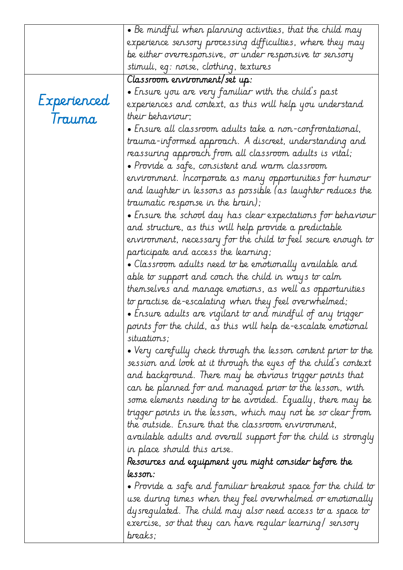|             | $\bullet$ Be mindful when planning activities, that the child may            |
|-------------|------------------------------------------------------------------------------|
|             | experience sensory processing difficulties, where they may                   |
|             | be either overresponsive, or under responsive to sensory                     |
|             | stimuli, eg: noise, clothing, textures                                       |
|             | Classroom ervironment/set up:                                                |
|             | • Ensure you are very familiar with the child's past                         |
| Experienced | experiences and context, as this will help you understand                    |
| Trauma      | their behaviour;                                                             |
|             | $\bullet$ Ensure all classroom adults take a non-confrontational,            |
|             | trauma-informed approach. A discreet, understanding and                      |
|             | reassuring approach from all classroom adults is vital;                      |
|             | $\bullet$ Provide a safe, consistent and warm classroom                      |
|             | environment. Incorporate as many opportunities for humour                    |
|             | and laughter in lessons as possible (as laughter reduces the                 |
|             | traumatic response in the brain);                                            |
|             | • Ensure the school day has clear expectations for behaviour                 |
|             | and structure, as this will help provide a predictable                       |
|             | environment, necessary for the child to feel secure enough to                |
|             | participate and access the learning;                                         |
|             | $\bullet$ Classroom adults need to be emotionally available and              |
|             | able to support and coach the child in ways to calm                          |
|             | themselves and manage emotions, as well as opportunities                     |
|             | to practise de-escalating when they feel overwhelmed;                        |
|             | $\bullet$ Ensure adults are vigilant to and mindful of any trigger $\bullet$ |
|             | points for the child, as this will help de-escalate emotional                |
|             | situations;                                                                  |
|             | $\bullet$ Very carefully check through the lesson content prior to the       |
|             | session and look at it through the eyes of the child's context               |
|             | and background. There may be obvious trigger points that                     |
|             | can be planned for and managed prior to the lesson, with                     |
|             | some elements needing to be avoided. Equally, there may be                   |
|             | trigger points in the lesson, which may not be so clear from                 |
|             | the outside. Ensure that the classroom environment,                          |
|             | available adults and overall support for the child is strongly               |
|             | in place should this arise.                                                  |
|             | Resources and equipment you might consider before the                        |
|             | lesson:                                                                      |
|             | $\bullet$ Provide a safe and familiar breakout space for the child to        |
|             | use during times when they feel overwhelmed or emotionally                   |
|             | dysregulated. The child may also need access to a space to                   |
|             | exercise, so that they can have regular learning/ sensory                    |
|             | breaks;                                                                      |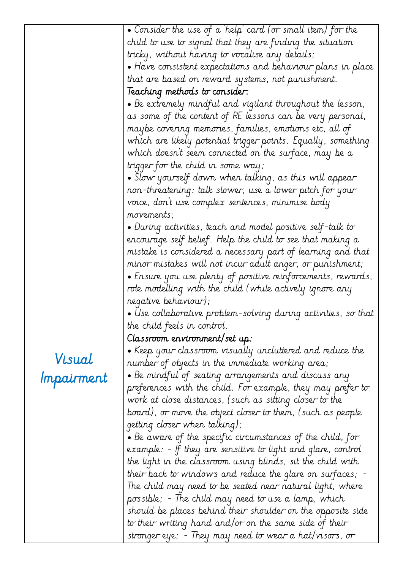|            | • Consider the use of a 'help' card (or small item) for the            |
|------------|------------------------------------------------------------------------|
|            | child to use to signal that they are finding the situation             |
|            | tricky, without having to vocalise any details;                        |
|            | $\bullet$ Have consistent expectations and behaviour plans in place    |
|            | that are based on reward systems, not punishment.                      |
|            | Teaching methods to consider:                                          |
|            | $\bullet$ Be extremely mindful and vigilant throughout the lesson,     |
|            | as some of the content of RE lessons can be very personal,             |
|            | maybe covering memories, families, emotions etc, all of                |
|            | which are likely potential trigger points. Equally, something          |
|            | which doesn't seem connected on the surface, may be a                  |
|            | trigger for the child in some way;                                     |
|            | $\bullet$ Slow yourself down when talking, as this will appear         |
|            | non-threatening: talk slower, use a lower pitch for your               |
|            | voice, don't use complex sentences, minimise body                      |
|            | movements;                                                             |
|            | $\bullet$ During activities, teach and model positive self-talk to     |
|            | encourage self belief. Help the child to see that making a             |
|            | mistake is considered a necessary part of learning and that            |
|            | minor mistakes will not incur adult anger, or punishment;              |
|            | • Ensure you use plenty of positive reinforcements, rewards,           |
|            | role modelling with the child (while actively ignore any               |
|            | negative behaviour);                                                   |
|            | $\bullet$ Use collaborative problem-solving during activities, so that |
|            | the child feels in control.                                            |
|            | Classroom ervironment/set up:                                          |
|            | $\bullet$ Keep your classroom visually uncluttered and reduce the      |
| Visual     | number of objects in the immediate working area;                       |
| Impairment | $\bullet$ Be mindful of seating arrangements and discuss any           |
|            | preferences with the child. For example, they may prefer to            |
|            | work at close distances, (such as sitting closer to the                |
|            | board), or move the object closer to them, (such as people             |
|            | getting closer when talking);                                          |
|            | $\bullet$ Be aware of the specific circumstances of the child, for     |
|            | example: - If they are sensitive to light and glare, control           |
|            | the light in the classroom using blinds, sit the child with            |
|            | their back to windows and reduce the glare on surfaces; -              |
|            | The child may need to be seated near natural light, where              |
|            | possible; - The child may need to use a lamp, which                    |
|            | should be places behind their shoulder on the opposite side            |
|            | to their writing hand and/or on the same side of their                 |
|            | stronger eye; - They may need to wear a hat/visors, or                 |